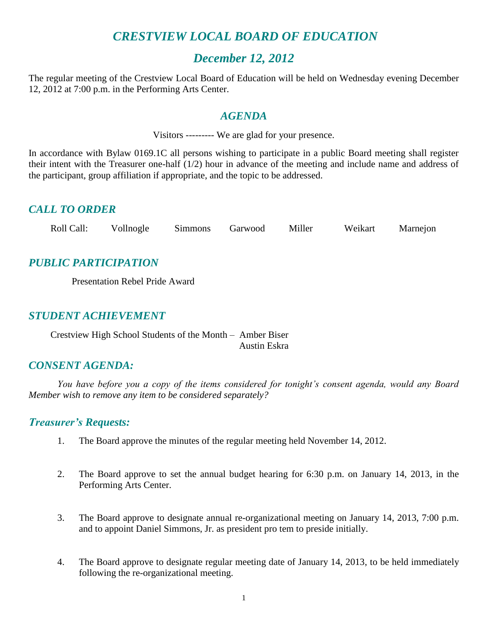## *CRESTVIEW LOCAL BOARD OF EDUCATION*

## *December 12, 2012*

The regular meeting of the Crestview Local Board of Education will be held on Wednesday evening December 12, 2012 at 7:00 p.m. in the Performing Arts Center.

#### *AGENDA*

Visitors --------- We are glad for your presence.

In accordance with Bylaw 0169.1C all persons wishing to participate in a public Board meeting shall register their intent with the Treasurer one-half (1/2) hour in advance of the meeting and include name and address of the participant, group affiliation if appropriate, and the topic to be addressed.

#### *CALL TO ORDER*

| Roll Call: | Vollnogle | <b>Simmons</b> | Garwood | Miller | Weikart | Marnejon |
|------------|-----------|----------------|---------|--------|---------|----------|
|            |           |                |         |        |         |          |

## *PUBLIC PARTICIPATION*

Presentation Rebel Pride Award

#### *STUDENT ACHIEVEMENT*

Crestview High School Students of the Month – Amber Biser Austin Eskra

## *CONSENT AGENDA:*

*You have before you a copy of the items considered for tonight's consent agenda, would any Board Member wish to remove any item to be considered separately?*

#### *Treasurer's Requests:*

- 1. The Board approve the minutes of the regular meeting held November 14, 2012.
- 2. The Board approve to set the annual budget hearing for 6:30 p.m. on January 14, 2013, in the Performing Arts Center.
- 3. The Board approve to designate annual re-organizational meeting on January 14, 2013, 7:00 p.m. and to appoint Daniel Simmons, Jr. as president pro tem to preside initially.
- 4. The Board approve to designate regular meeting date of January 14, 2013, to be held immediately following the re-organizational meeting.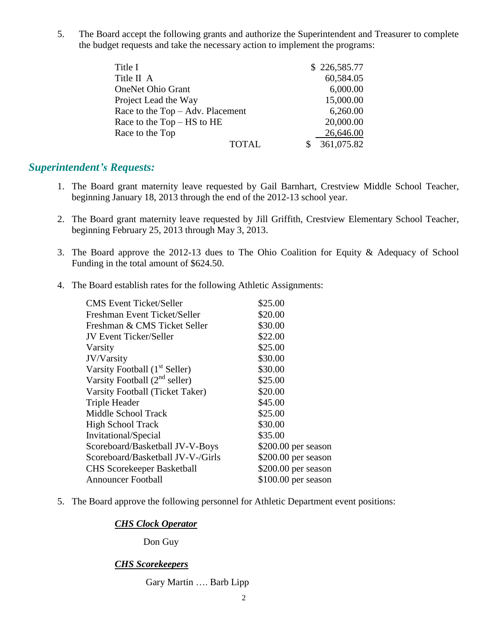5. The Board accept the following grants and authorize the Superintendent and Treasurer to complete the budget requests and take the necessary action to implement the programs:

| Title I                          | \$226,585.77 |  |
|----------------------------------|--------------|--|
| Title II A                       | 60,584.05    |  |
| <b>OneNet Ohio Grant</b>         | 6,000.00     |  |
| Project Lead the Way             | 15,000.00    |  |
| Race to the Top - Adv. Placement | 6,260.00     |  |
| Race to the $Top - HS$ to $HE$   | 20,000.00    |  |
| Race to the Top                  | 26,646.00    |  |
| <b>TOTAL</b>                     | 361,075.82   |  |

## *Superintendent's Requests:*

- 1. The Board grant maternity leave requested by Gail Barnhart, Crestview Middle School Teacher, beginning January 18, 2013 through the end of the 2012-13 school year.
- 2. The Board grant maternity leave requested by Jill Griffith, Crestview Elementary School Teacher, beginning February 25, 2013 through May 3, 2013.
- 3. The Board approve the 2012-13 dues to The Ohio Coalition for Equity & Adequacy of School Funding in the total amount of \$624.50.
- 4. The Board establish rates for the following Athletic Assignments:

| <b>CMS Event Ticket/Seller</b>            | \$25.00              |
|-------------------------------------------|----------------------|
| Freshman Event Ticket/Seller              | \$20.00              |
| Freshman & CMS Ticket Seller              | \$30.00              |
| <b>JV Event Ticker/Seller</b>             | \$22.00              |
| Varsity                                   | \$25.00              |
| JV/Varsity                                | \$30.00              |
| Varsity Football (1 <sup>st</sup> Seller) | \$30.00              |
| Varsity Football $(2^{nd}$ seller)        | \$25.00              |
| Varsity Football (Ticket Taker)           | \$20.00              |
| Triple Header                             | \$45.00              |
| Middle School Track                       | \$25.00              |
| <b>High School Track</b>                  | \$30.00              |
| Invitational/Special                      | \$35.00              |
| Scoreboard/Basketball JV-V-Boys           | \$200.00 per season  |
| Scoreboard/Basketball JV-V-/Girls         | $$200.00$ per season |
| <b>CHS Scorekeeper Basketball</b>         | \$200.00 per season  |
| <b>Announcer Football</b>                 | $$100.00$ per season |
|                                           |                      |

5. The Board approve the following personnel for Athletic Department event positions:

#### *CHS Clock Operator*

Don Guy

#### *CHS Scorekeepers*

#### Gary Martin …. Barb Lipp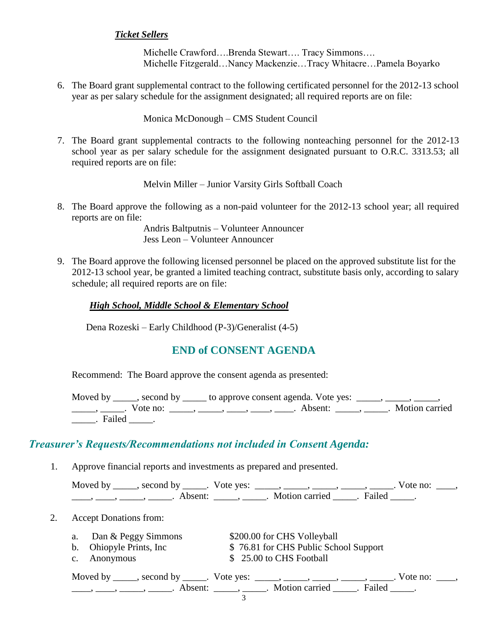#### *Ticket Sellers*

Michelle Crawford….Brenda Stewart…. Tracy Simmons…. Michelle Fitzgerald…Nancy Mackenzie…Tracy Whitacre…Pamela Boyarko

6. The Board grant supplemental contract to the following certificated personnel for the 2012-13 school year as per salary schedule for the assignment designated; all required reports are on file:

Monica McDonough – CMS Student Council

7. The Board grant supplemental contracts to the following nonteaching personnel for the 2012-13 school year as per salary schedule for the assignment designated pursuant to O.R.C. 3313.53; all required reports are on file:

Melvin Miller – Junior Varsity Girls Softball Coach

8. The Board approve the following as a non-paid volunteer for the 2012-13 school year; all required reports are on file:

> Andris Baltputnis – Volunteer Announcer Jess Leon – Volunteer Announcer

9. The Board approve the following licensed personnel be placed on the approved substitute list for the 2012-13 school year, be granted a limited teaching contract, substitute basis only, according to salary schedule; all required reports are on file:

#### *High School, Middle School & Elementary School*

Dena Rozeski – Early Childhood (P-3)/Generalist (4-5)

#### **END of CONSENT AGENDA**

Recommend: The Board approve the consent agenda as presented:

Moved by \_\_\_\_, second by \_\_\_\_\_ to approve consent agenda. Vote yes: \_\_\_\_, \_\_\_\_, \_ ——, ——, Vote no: \_\_\_\_, \_\_\_, \_\_\_, \_\_\_, \_\_\_, Absent: \_\_\_\_, \_\_\_\_. Motion carried \_\_\_\_\_. Failed \_\_\_\_\_.

## *Treasurer's Requests/Recommendations not included in Consent Agenda:*

1. Approve financial reports and investments as prepared and presented.

| Moved by second by . Vote yes: | $\sim$ $\sim$ $\sim$ $\sim$ $\sim$ $\sim$ | Vote no: |
|--------------------------------|-------------------------------------------|----------|
| Absent:                        | Motion carried . Failed                   |          |

2. Accept Donations from:

| a. Dan & Peggy Simmons   | \$200.00 for CHS Volleyball           |
|--------------------------|---------------------------------------|
| b. Ohiopyle Prints, Inc. | \$76.81 for CHS Public School Support |
| c. Anonymous             | \$ 25.00 to CHS Football              |

|  | Moved by ______, second by ______. Vote yes: _____, _____, _____, _____, ______ | Vote no: |
|--|---------------------------------------------------------------------------------|----------|
|  | Absent: , Motion carried . Failed                                               |          |